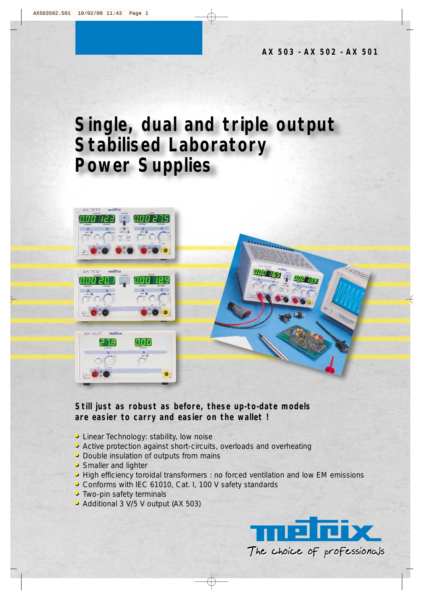## **Single, dual and triple output Stabilised Laboratory Power Supplies**



## **Still just as robust as before, these up-to-date models are easier to carry and easier on the wallet !**

- **• •**Linear Technology: stability, low noise
- **• •**Active protection against short-circuits, overloads and overheating
- **• •**Double insulation of outputs from mains
- **• •**Smaller and lighter
- **•** High efficiency toroidal transformers : no forced ventilation and low EM emissions
- **• •**Conforms with IEC 61010, Cat. I, 100 V safety standards
- **•** Two-pin safety terminals
- **• •**Additional 3 V/5 V output (AX 503)